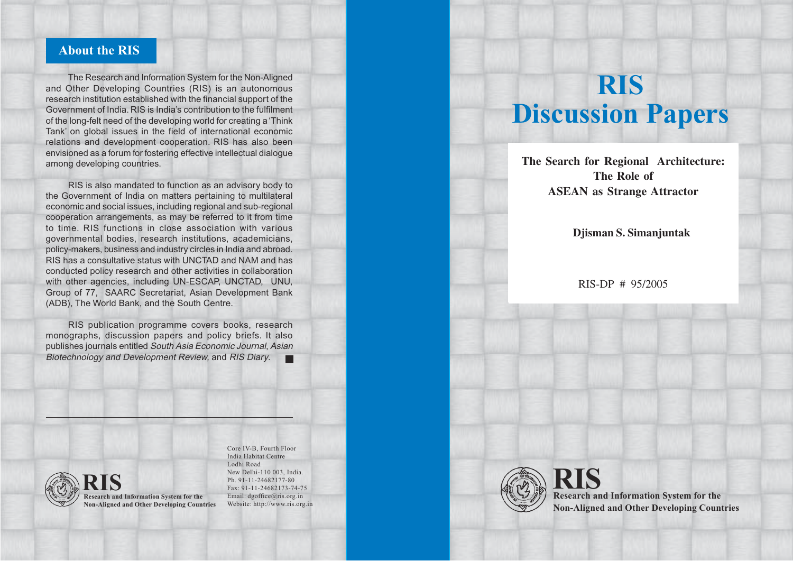# **About the RIS**

The Research and Information System for the Non-Aligned and Other Developing Countries (RIS) is an autonomous research institution established with the financial support of the Government of India. RIS is India's contribution to the fulfilment of the long-felt need of the developing world for creating a 'Think Tank' on global issues in the field of international economic relations and development cooperation. RIS has also been envisioned as a forum for fostering effective intellectual dialogue among developing countries.

RIS is also mandated to function as an advisory body to the Government of India on matters pertaining to multilateral economic and social issues, including regional and sub-regional cooperation arrangements, as may be referred to it from time to time. RIS functions in close association with various governmental bodies, research institutions, academicians, policy-makers, business and industry circles in India and abroad. RIS has a consultative status with UNCTAD and NAM and has conducted policy research and other activities in collaboration with other agencies, including UN-ESCAP, UNCTAD, UNU, Group of 77, SAARC Secretariat, Asian Development Bank (ADB), The World Bank, and the South Centre.

RIS publication programme covers books, research monographs, discussion papers and policy briefs. It also publishes journals entitled South Asia Economic Journal, Asian Biotechnology and Development Review, and RIS Diary.  $\blacksquare$ 



**Research and Information System for the RIS Non-Aligned and Other Developing Countries**

Core IV-B, Fourth Floor India Habitat Centre Lodhi Road New Delhi-110 003, India. Ph. 91-11-24682177-80 Fax: 91-11-24682173-74-75 Email: dgoffice@ris.org.in Website: http://www.ris.org.in

# **RIS Discussion Papers**

**"Ecosystemic Multifunctionality" – The Search for Regional Architecture: The Role of ASEAN as Strange Attractor** 

# Djisman S. Simanjuntak

 $RIS-DP \# 95/2005$ 



**Research and Information System for the RIS Non-Aligned and Other Developing Countries**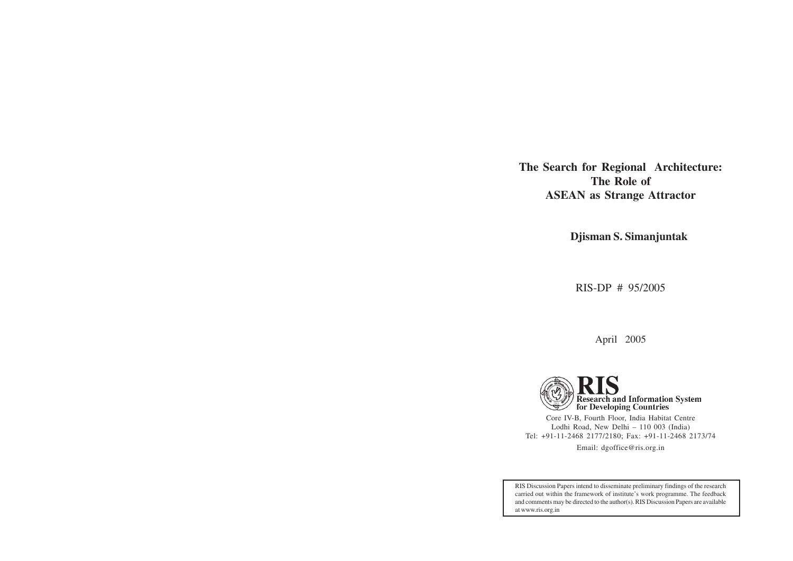**The Search for Regional Architecture: The Role of ASEAN as Strange Attractor**

**Djisman S. Simanjuntak**

RIS-DP # 95/2005

April 2005

Research and Information System<br>for Developing Countries Core IV-B, Fourth Floor, India Habitat Centre Lodhi Road, New Delhi – 110 003 (India) Tel: +91-11-2468 2177/2180; Fax: +91-11-2468 2173/74 Email: dgoffice@ris.org.in

RIS Discussion Papers intend to disseminate preliminary findings of the research carried out within the framework of institute's work programme. The feedback and comments may be directed to the author(s). RIS Discussion Papers are available at www.ris.org.in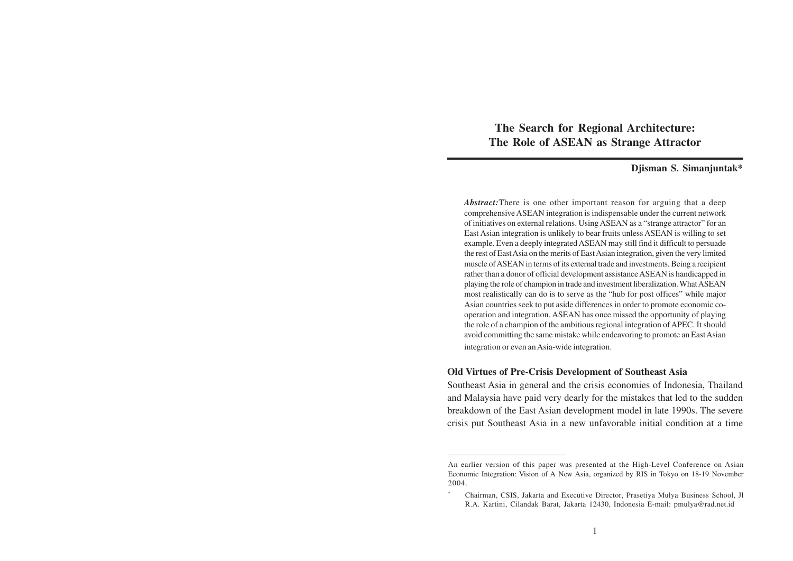**The Search for Regional Architecture: The Role of ASEAN as Strange Attractor**

#### **Djisman S. Simanjuntak\***

*Abstract:*There is one other important reason for arguing that a deep comprehensive ASEAN integration is indispensable under the current network of initiatives on external relations. Using ASEAN as a "strange attractor" for an East Asian integration is unlikely to bear fruits unless ASEAN is willing to set example. Even a deeply integrated ASEAN may still find it difficult to persuade the rest of East Asia on the merits of East Asian integration, given the very limited muscle of ASEAN in terms of its external trade and investments. Being a recipient rather than a donor of official development assistance ASEAN is handicapped in playing the role of champion in trade and investment liberalization. What ASEAN most realistically can do is to serve as the "hub for post offices" while major Asian countries seek to put aside differences in order to promote economic cooperation and integration. ASEAN has once missed the opportunity of playing the role of a champion of the ambitious regional integration of APEC. It should avoid committing the same mistake while endeavoring to promote an East Asian integration or even an Asia-wide integration.

# **Old Virtues of Pre-Crisis Development of Southeast Asia**

Southeast Asia in general and the crisis economies of Indonesia, Thailand and Malaysia have paid very dearly for the mistakes that led to the sudden breakdown of the East Asian development model in late 1990s. The severe crisis put Southeast Asia in a new unfavorable initial condition at a time

An earlier version of this paper was presented at the High-Level Conference on Asian Economic Integration: Vision of A New Asia, organized by RIS in Tokyo on 18-19 November 2004.

<sup>\*</sup> Chairman, CSIS, Jakarta and Executive Director, Prasetiya Mulya Business School, Jl R.A. Kartini, Cilandak Barat, Jakarta 12430, Indonesia E-mail: pmulya@rad.net.id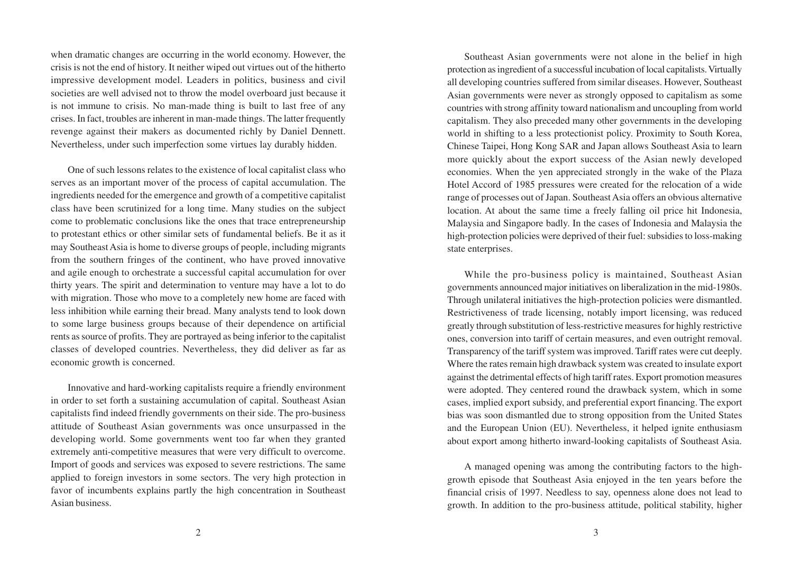when dramatic changes are occurring in the world economy. However, the crisis is not the end of history. It neither wiped out virtues out of the hitherto impressive development model. Leaders in politics, business and civil societies are well advised not to throw the model overboard just because it is not immune to crisis. No man-made thing is built to last free of any crises. In fact, troubles are inherent in man-made things. The latter frequently revenge against their makers as documented richly by Daniel Dennett. Nevertheless, under such imperfection some virtues lay durably hidden.

One of such lessons relates to the existence of local capitalist class who serves as an important mover of the process of capital accumulation. The ingredients needed for the emergence and growth of a competitive capitalist class have been scrutinized for a long time. Many studies on the subject come to problematic conclusions like the ones that trace entrepreneurship to protestant ethics or other similar sets of fundamental beliefs. Be it as it may Southeast Asia is home to diverse groups of people, including migrants from the southern fringes of the continent, who have proved innovative and agile enough to orchestrate a successful capital accumulation for over thirty years. The spirit and determination to venture may have a lot to do with migration. Those who move to a completely new home are faced with less inhibition while earning their bread. Many analysts tend to look down to some large business groups because of their dependence on artificial rents as source of profits. They are portrayed as being inferior to the capitalist classes of developed countries. Nevertheless, they did deliver as far as economic growth is concerned.

Innovative and hard-working capitalists require a friendly environment in order to set forth a sustaining accumulation of capital. Southeast Asian capitalists find indeed friendly governments on their side. The pro-business attitude of Southeast Asian governments was once unsurpassed in the developing world. Some governments went too far when they granted extremely anti-competitive measures that were very difficult to overcome. Import of goods and services was exposed to severe restrictions. The same applied to foreign investors in some sectors. The very high protection in favor of incumbents explains partly the high concentration in Southeast Asian business.

Southeast Asian governments were not alone in the belief in high protection as ingredient of a successful incubation of local capitalists. Virtually all developing countries suffered from similar diseases. However, Southeast Asian governments were never as strongly opposed to capitalism as some countries with strong affinity toward nationalism and uncoupling from world capitalism. They also preceded many other governments in the developing world in shifting to a less protectionist policy. Proximity to South Korea, Chinese Taipei, Hong Kong SAR and Japan allows Southeast Asia to learn more quickly about the export success of the Asian newly developed economies. When the yen appreciated strongly in the wake of the Plaza Hotel Accord of 1985 pressures were created for the relocation of a wide range of processes out of Japan. Southeast Asia offers an obvious alternative location. At about the same time a freely falling oil price hit Indonesia, Malaysia and Singapore badly. In the cases of Indonesia and Malaysia the high-protection policies were deprived of their fuel: subsidies to loss-making state enterprises.

While the pro-business policy is maintained, Southeast Asian governments announced major initiatives on liberalization in the mid-1980s. Through unilateral initiatives the high-protection policies were dismantled. Restrictiveness of trade licensing, notably import licensing, was reduced greatly through substitution of less-restrictive measures for highly restrictive ones, conversion into tariff of certain measures, and even outright removal. Transparency of the tariff system was improved. Tariff rates were cut deeply. Where the rates remain high drawback system was created to insulate export against the detrimental effects of high tariff rates. Export promotion measures were adopted. They centered round the drawback system, which in some cases, implied export subsidy, and preferential export financing. The export bias was soon dismantled due to strong opposition from the United States and the European Union (EU). Nevertheless, it helped ignite enthusiasm about export among hitherto inward-looking capitalists of Southeast Asia.

A managed opening was among the contributing factors to the highgrowth episode that Southeast Asia enjoyed in the ten years before the financial crisis of 1997. Needless to say, openness alone does not lead to growth. In addition to the pro-business attitude, political stability, higher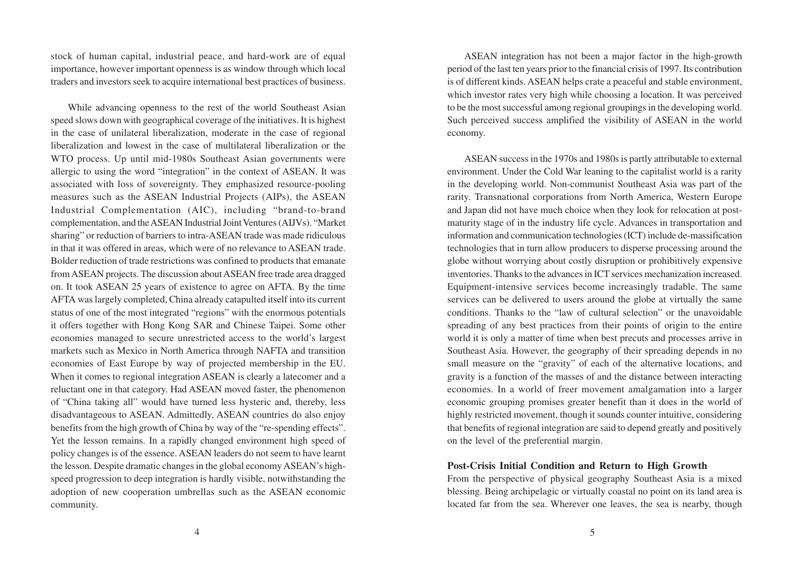stock of human capital, industrial peace, and hard-work are of equal importance, however important openness is as window through which local traders and investors seek to acquire international best practices of business.

While advancing openness to the rest of the world Southeast Asian speed slows down with geographical coverage of the initiatives. It is highest in the case of unilateral liberalization, moderate in the case of regional liberalization and lowest in the case of multilateral liberalization or the WTO process. Up until mid-1980s Southeast Asian governments were allergic to using the word "integration" in the context of ASEAN. It was associated with loss of sovereignty. They emphasized resource-pooling measures such as the ASEAN Industrial Projects (AIPs), the ASEAN Industrial Complementation (AIC), including "brand-to-brand complementation, and the ASEAN Industrial Joint Ventures (AIJVs). "Market sharing" or reduction of barriers to intra-ASEAN trade was made ridiculous in that it was offered in areas, which were of no relevance to ASEAN trade. Bolder reduction of trade restrictions was confined to products that emanate from ASEAN projects. The discussion about ASEAN free trade area dragged on. It took ASEAN 25 years of existence to agree on AFTA. By the time AFTA was largely completed, China already catapulted itself into its current status of one of the most integrated "regions" with the enormous potentials it offers together with Hong Kong SAR and Chinese Taipei. Some other economies managed to secure unrestricted access to the world's largest markets such as Mexico in North America through NAFTA and transition economies of East Europe by way of projected membership in the EU. When it comes to regional integration ASEAN is clearly a latecomer and a reluctant one in that category. Had ASEAN moved faster, the phenomenon of "China taking all" would have turned less hysteric and, thereby, less disadvantageous to ASEAN. Admittedly, ASEAN countries do also enjoy benefits from the high growth of China by way of the "re-spending effects". Yet the lesson remains. In a rapidly changed environment high speed of policy changes is of the essence. ASEAN leaders do not seem to have learnt the lesson. Despite dramatic changes in the global economy ASEAN's highspeed progression to deep integration is hardly visible, notwithstanding the adoption of new cooperation umbrellas such as the ASEAN economic community.

ASEAN integration has not been a major factor in the high-growth period of the last ten years prior to the financial crisis of 1997. Its contribution is of different kinds. ASEAN helps crate a peaceful and stable environment, which investor rates very high while choosing a location. It was perceived to be the most successful among regional groupings in the developing world. Such perceived success amplified the visibility of ASEAN in the world economy.

ASEAN success in the 1970s and 1980s is partly attributable to external environment. Under the Cold War leaning to the capitalist world is a rarity in the developing world. Non-communist Southeast Asia was part of the rarity. Transnational corporations from North America, Western Europe and Japan did not have much choice when they look for relocation at postmaturity stage of in the industry life cycle. Advances in transportation and information and communication technologies (ICT) include de-massification technologies that in turn allow producers to disperse processing around the globe without worrying about costly disruption or prohibitively expensive inventories. Thanks to the advances in ICT services mechanization increased. Equipment-intensive services become increasingly tradable. The same services can be delivered to users around the globe at virtually the same conditions. Thanks to the "law of cultural selection" or the unavoidable spreading of any best practices from their points of origin to the entire world it is only a matter of time when best precuts and processes arrive in Southeast Asia. However, the geography of their spreading depends in no small measure on the "gravity" of each of the alternative locations, and gravity is a function of the masses of and the distance between interacting economies. In a world of freer movement amalgamation into a larger economic grouping promises greater benefit than it does in the world of highly restricted movement, though it sounds counter intuitive, considering that benefits of regional integration are said to depend greatly and positively on the level of the preferential margin.

# **Post-Crisis Initial Condition and Return to High Growth**

From the perspective of physical geography Southeast Asia is a mixed blessing. Being archipelagic or virtually coastal no point on its land area is located far from the sea. Wherever one leaves, the sea is nearby, though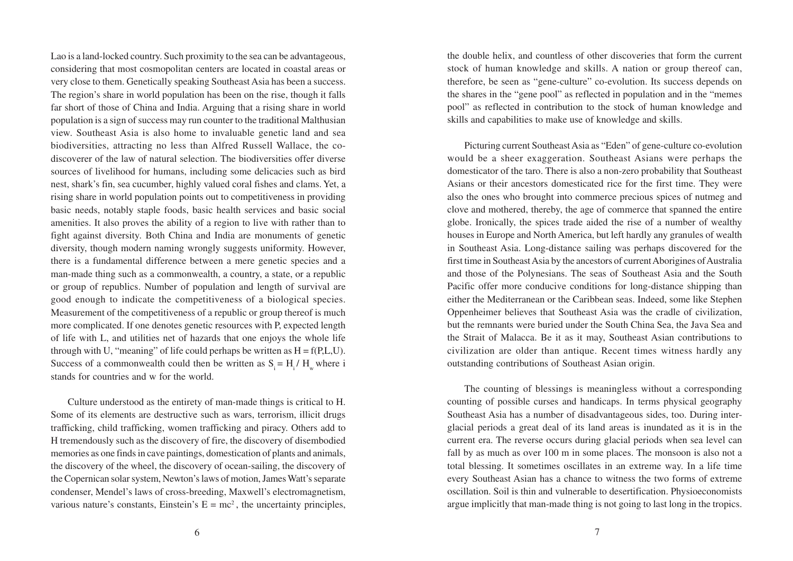Lao is a land-locked country. Such proximity to the sea can be advantageous, considering that most cosmopolitan centers are located in coastal areas or very close to them. Genetically speaking Southeast Asia has been a success. The region's share in world population has been on the rise, though it falls far short of those of China and India. Arguing that a rising share in world population is a sign of success may run counter to the traditional Malthusian view. Southeast Asia is also home to invaluable genetic land and sea biodiversities, attracting no less than Alfred Russell Wallace, the codiscoverer of the law of natural selection. The biodiversities offer diverse sources of livelihood for humans, including some delicacies such as bird nest, shark's fin, sea cucumber, highly valued coral fishes and clams. Yet, a rising share in world population points out to competitiveness in providing basic needs, notably staple foods, basic health services and basic social amenities. It also proves the ability of a region to live with rather than to fight against diversity. Both China and India are monuments of genetic diversity, though modern naming wrongly suggests uniformity. However, there is a fundamental difference between a mere genetic species and a man-made thing such as a commonwealth, a country, a state, or a republic or group of republics. Number of population and length of survival are good enough to indicate the competitiveness of a biological species. Measurement of the competitiveness of a republic or group thereof is much more complicated. If one denotes genetic resources with P, expected length of life with L, and utilities net of hazards that one enjoys the whole life through with U, "meaning" of life could perhaps be written as  $H = f(P, L, U)$ . Success of a commonwealth could then be written as  $S_i = H_i / H_w$  where i stands for countries and w for the world.

Culture understood as the entirety of man-made things is critical to H. Some of its elements are destructive such as wars, terrorism, illicit drugs trafficking, child trafficking, women trafficking and piracy. Others add to H tremendously such as the discovery of fire, the discovery of disembodied memories as one finds in cave paintings, domestication of plants and animals, the discovery of the wheel, the discovery of ocean-sailing, the discovery of the Copernican solar system, Newton's laws of motion, James Watt's separate condenser, Mendel's laws of cross-breeding, Maxwell's electromagnetism, various nature's constants, Einstein's  $E = mc^2$ , the uncertainty principles,

the double helix, and countless of other discoveries that form the current stock of human knowledge and skills. A nation or group thereof can, therefore, be seen as "gene-culture" co-evolution. Its success depends on the shares in the "gene pool" as reflected in population and in the "memes pool" as reflected in contribution to the stock of human knowledge and skills and capabilities to make use of knowledge and skills.

Picturing current Southeast Asia as "Eden" of gene-culture co-evolution would be a sheer exaggeration. Southeast Asians were perhaps the domesticator of the taro. There is also a non-zero probability that Southeast Asians or their ancestors domesticated rice for the first time. They were also the ones who brought into commerce precious spices of nutmeg and clove and mothered, thereby, the age of commerce that spanned the entire globe. Ironically, the spices trade aided the rise of a number of wealthy houses in Europe and North America, but left hardly any granules of wealth in Southeast Asia. Long-distance sailing was perhaps discovered for the first time in Southeast Asia by the ancestors of current Aborigines of Australia and those of the Polynesians. The seas of Southeast Asia and the South Pacific offer more conducive conditions for long-distance shipping than either the Mediterranean or the Caribbean seas. Indeed, some like Stephen Oppenheimer believes that Southeast Asia was the cradle of civilization, but the remnants were buried under the South China Sea, the Java Sea and the Strait of Malacca. Be it as it may, Southeast Asian contributions to civilization are older than antique. Recent times witness hardly any outstanding contributions of Southeast Asian origin.

The counting of blessings is meaningless without a corresponding counting of possible curses and handicaps. In terms physical geography Southeast Asia has a number of disadvantageous sides, too. During interglacial periods a great deal of its land areas is inundated as it is in the current era. The reverse occurs during glacial periods when sea level can fall by as much as over 100 m in some places. The monsoon is also not a total blessing. It sometimes oscillates in an extreme way. In a life time every Southeast Asian has a chance to witness the two forms of extreme oscillation. Soil is thin and vulnerable to desertification. Physioeconomists argue implicitly that man-made thing is not going to last long in the tropics.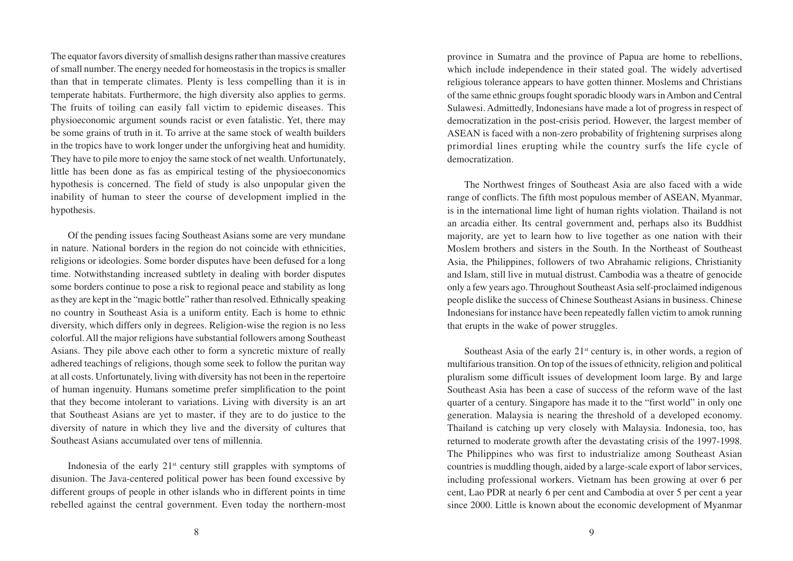The equator favors diversity of smallish designs rather than massive creatures of small number. The energy needed for homeostasis in the tropics is smaller than that in temperate climates. Plenty is less compelling than it is in temperate habitats. Furthermore, the high diversity also applies to germs. The fruits of toiling can easily fall victim to epidemic diseases. This physioeconomic argument sounds racist or even fatalistic. Yet, there may be some grains of truth in it. To arrive at the same stock of wealth builders in the tropics have to work longer under the unforgiving heat and humidity. They have to pile more to enjoy the same stock of net wealth. Unfortunately, little has been done as fas as empirical testing of the physioeconomics hypothesis is concerned. The field of study is also unpopular given the inability of human to steer the course of development implied in the hypothesis.

Of the pending issues facing Southeast Asians some are very mundane in nature. National borders in the region do not coincide with ethnicities, religions or ideologies. Some border disputes have been defused for a long time. Notwithstanding increased subtlety in dealing with border disputes some borders continue to pose a risk to regional peace and stability as long as they are kept in the "magic bottle" rather than resolved. Ethnically speaking no country in Southeast Asia is a uniform entity. Each is home to ethnic diversity, which differs only in degrees. Religion-wise the region is no less colorful. All the major religions have substantial followers among Southeast Asians. They pile above each other to form a syncretic mixture of really adhered teachings of religions, though some seek to follow the puritan way at all costs. Unfortunately, living with diversity has not been in the repertoire of human ingenuity. Humans sometime prefer simplification to the point that they become intolerant to variations. Living with diversity is an art that Southeast Asians are yet to master, if they are to do justice to the diversity of nature in which they live and the diversity of cultures that Southeast Asians accumulated over tens of millennia.

Indonesia of the early  $21<sup>st</sup>$  century still grapples with symptoms of disunion. The Java-centered political power has been found excessive by different groups of people in other islands who in different points in time rebelled against the central government. Even today the northern-most province in Sumatra and the province of Papua are home to rebellions, which include independence in their stated goal. The widely advertised religious tolerance appears to have gotten thinner. Moslems and Christians of the same ethnic groups fought sporadic bloody wars in Ambon and Central Sulawesi. Admittedly, Indonesians have made a lot of progress in respect of democratization in the post-crisis period. However, the largest member of ASEAN is faced with a non-zero probability of frightening surprises along primordial lines erupting while the country surfs the life cycle of democratization.

The Northwest fringes of Southeast Asia are also faced with a wide range of conflicts. The fifth most populous member of ASEAN, Myanmar, is in the international lime light of human rights violation. Thailand is not an arcadia either. Its central government and, perhaps also its Buddhist majority, are yet to learn how to live together as one nation with their Moslem brothers and sisters in the South. In the Northeast of Southeast Asia, the Philippines, followers of two Abrahamic religions, Christianity and Islam, still live in mutual distrust. Cambodia was a theatre of genocide only a few years ago. Throughout Southeast Asia self-proclaimed indigenous people dislike the success of Chinese Southeast Asians in business. Chinese Indonesians for instance have been repeatedly fallen victim to amok running that erupts in the wake of power struggles.

Southeast Asia of the early  $21<sup>st</sup>$  century is, in other words, a region of multifarious transition. On top of the issues of ethnicity, religion and political pluralism some difficult issues of development loom large. By and large Southeast Asia has been a case of success of the reform wave of the last quarter of a century. Singapore has made it to the "first world" in only one generation. Malaysia is nearing the threshold of a developed economy. Thailand is catching up very closely with Malaysia. Indonesia, too, has returned to moderate growth after the devastating crisis of the 1997-1998. The Philippines who was first to industrialize among Southeast Asian countries is muddling though, aided by a large-scale export of labor services, including professional workers. Vietnam has been growing at over 6 per cent, Lao PDR at nearly 6 per cent and Cambodia at over 5 per cent a year since 2000. Little is known about the economic development of Myanmar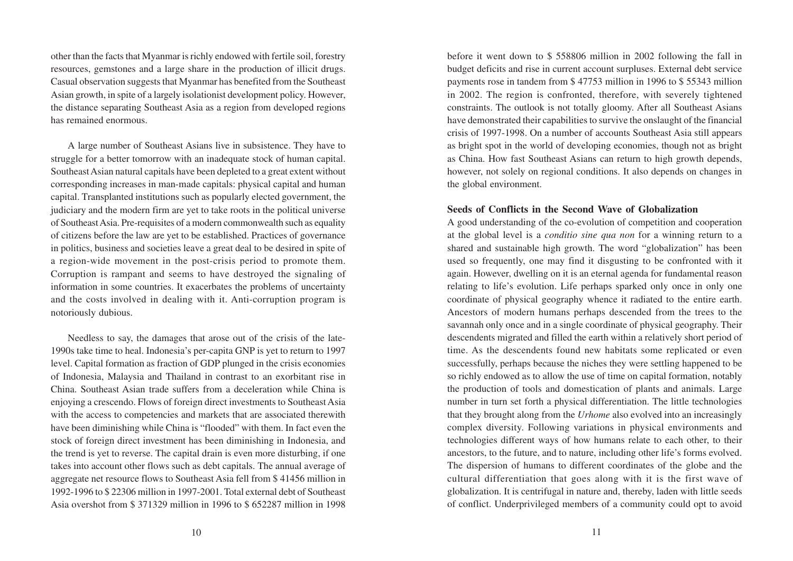other than the facts that Myanmar is richly endowed with fertile soil, forestry resources, gemstones and a large share in the production of illicit drugs. Casual observation suggests that Myanmar has benefited from the Southeast Asian growth, in spite of a largely isolationist development policy. However, the distance separating Southeast Asia as a region from developed regions has remained enormous.

A large number of Southeast Asians live in subsistence. They have to struggle for a better tomorrow with an inadequate stock of human capital. Southeast Asian natural capitals have been depleted to a great extent without corresponding increases in man-made capitals: physical capital and human capital. Transplanted institutions such as popularly elected government, the judiciary and the modern firm are yet to take roots in the political universe of Southeast Asia. Pre-requisites of a modern commonwealth such as equality of citizens before the law are yet to be established. Practices of governance in politics, business and societies leave a great deal to be desired in spite of a region-wide movement in the post-crisis period to promote them. Corruption is rampant and seems to have destroyed the signaling of information in some countries. It exacerbates the problems of uncertainty and the costs involved in dealing with it. Anti-corruption program is notoriously dubious.

Needless to say, the damages that arose out of the crisis of the late-1990s take time to heal. Indonesia's per-capita GNP is yet to return to 1997 level. Capital formation as fraction of GDP plunged in the crisis economies of Indonesia, Malaysia and Thailand in contrast to an exorbitant rise in China. Southeast Asian trade suffers from a deceleration while China is enjoying a crescendo. Flows of foreign direct investments to Southeast Asia with the access to competencies and markets that are associated therewith have been diminishing while China is "flooded" with them. In fact even the stock of foreign direct investment has been diminishing in Indonesia, and the trend is yet to reverse. The capital drain is even more disturbing, if one takes into account other flows such as debt capitals. The annual average of aggregate net resource flows to Southeast Asia fell from \$ 41456 million in 1992-1996 to \$ 22306 million in 1997-2001. Total external debt of Southeast Asia overshot from \$ 371329 million in 1996 to \$ 652287 million in 1998 before it went down to \$ 558806 million in 2002 following the fall in budget deficits and rise in current account surpluses. External debt service payments rose in tandem from \$ 47753 million in 1996 to \$ 55343 million in 2002. The region is confronted, therefore, with severely tightened constraints. The outlook is not totally gloomy. After all Southeast Asians have demonstrated their capabilities to survive the onslaught of the financial crisis of 1997-1998. On a number of accounts Southeast Asia still appears as bright spot in the world of developing economies, though not as bright as China. How fast Southeast Asians can return to high growth depends, however, not solely on regional conditions. It also depends on changes in the global environment.

## **Seeds of Conflicts in the Second Wave of Globalization**

A good understanding of the co-evolution of competition and cooperation at the global level is a *conditio sine qua non* for a winning return to a shared and sustainable high growth. The word "globalization" has been used so frequently, one may find it disgusting to be confronted with it again. However, dwelling on it is an eternal agenda for fundamental reason relating to life's evolution. Life perhaps sparked only once in only one coordinate of physical geography whence it radiated to the entire earth. Ancestors of modern humans perhaps descended from the trees to the savannah only once and in a single coordinate of physical geography. Their descendents migrated and filled the earth within a relatively short period of time. As the descendents found new habitats some replicated or even successfully, perhaps because the niches they were settling happened to be so richly endowed as to allow the use of time on capital formation, notably the production of tools and domestication of plants and animals. Large number in turn set forth a physical differentiation. The little technologies that they brought along from the *Urhome* also evolved into an increasingly complex diversity. Following variations in physical environments and technologies different ways of how humans relate to each other, to their ancestors, to the future, and to nature, including other life's forms evolved. The dispersion of humans to different coordinates of the globe and the cultural differentiation that goes along with it is the first wave of globalization. It is centrifugal in nature and, thereby, laden with little seeds of conflict. Underprivileged members of a community could opt to avoid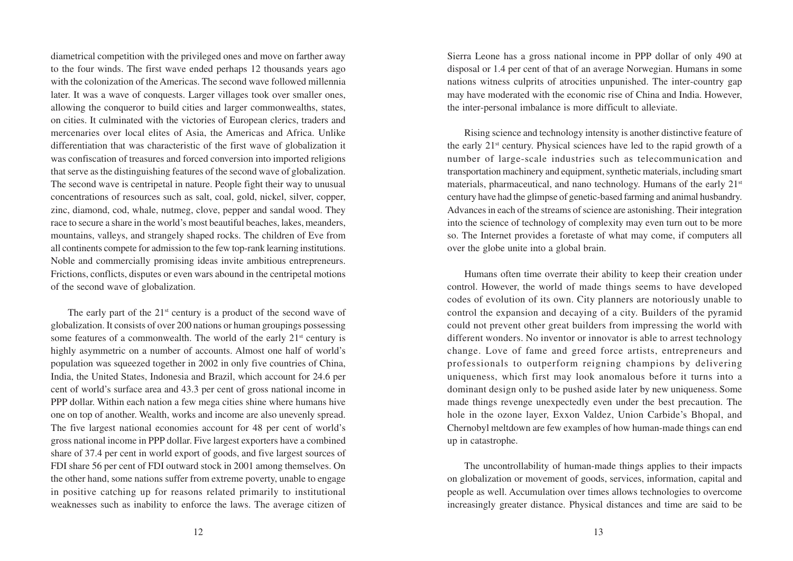diametrical competition with the privileged ones and move on farther away to the four winds. The first wave ended perhaps 12 thousands years ago with the colonization of the Americas. The second wave followed millennia later. It was a wave of conquests. Larger villages took over smaller ones, allowing the conqueror to build cities and larger commonwealths, states, on cities. It culminated with the victories of European clerics, traders and mercenaries over local elites of Asia, the Americas and Africa. Unlike differentiation that was characteristic of the first wave of globalization it was confiscation of treasures and forced conversion into imported religions that serve as the distinguishing features of the second wave of globalization. The second wave is centripetal in nature. People fight their way to unusual concentrations of resources such as salt, coal, gold, nickel, silver, copper, zinc, diamond, cod, whale, nutmeg, clove, pepper and sandal wood. They race to secure a share in the world's most beautiful beaches, lakes, meanders, mountains, valleys, and strangely shaped rocks. The children of Eve from all continents compete for admission to the few top-rank learning institutions. Noble and commercially promising ideas invite ambitious entrepreneurs. Frictions, conflicts, disputes or even wars abound in the centripetal motions of the second wave of globalization.

The early part of the  $21<sup>st</sup>$  century is a product of the second wave of globalization. It consists of over 200 nations or human groupings possessing some features of a commonwealth. The world of the early  $21<sup>st</sup>$  century is highly asymmetric on a number of accounts. Almost one half of world's population was squeezed together in 2002 in only five countries of China, India, the United States, Indonesia and Brazil, which account for 24.6 per cent of world's surface area and 43.3 per cent of gross national income in PPP dollar. Within each nation a few mega cities shine where humans hive one on top of another. Wealth, works and income are also unevenly spread. The five largest national economies account for 48 per cent of world's gross national income in PPP dollar. Five largest exporters have a combined share of 37.4 per cent in world export of goods, and five largest sources of FDI share 56 per cent of FDI outward stock in 2001 among themselves. On the other hand, some nations suffer from extreme poverty, unable to engage in positive catching up for reasons related primarily to institutional weaknesses such as inability to enforce the laws. The average citizen of

Sierra Leone has a gross national income in PPP dollar of only 490 at disposal or 1.4 per cent of that of an average Norwegian. Humans in some nations witness culprits of atrocities unpunished. The inter-country gap may have moderated with the economic rise of China and India. However, the inter-personal imbalance is more difficult to alleviate.

Rising science and technology intensity is another distinctive feature of the early 21st century. Physical sciences have led to the rapid growth of a number of large-scale industries such as telecommunication and transportation machinery and equipment, synthetic materials, including smart materials, pharmaceutical, and nano technology. Humans of the early 21st century have had the glimpse of genetic-based farming and animal husbandry. Advances in each of the streams of science are astonishing. Their integration into the science of technology of complexity may even turn out to be more so. The Internet provides a foretaste of what may come, if computers all over the globe unite into a global brain.

Humans often time overrate their ability to keep their creation under control. However, the world of made things seems to have developed codes of evolution of its own. City planners are notoriously unable to control the expansion and decaying of a city. Builders of the pyramid could not prevent other great builders from impressing the world with different wonders. No inventor or innovator is able to arrest technology change. Love of fame and greed force artists, entrepreneurs and professionals to outperform reigning champions by delivering uniqueness, which first may look anomalous before it turns into a dominant design only to be pushed aside later by new uniqueness. Some made things revenge unexpectedly even under the best precaution. The hole in the ozone layer, Exxon Valdez, Union Carbide's Bhopal, and Chernobyl meltdown are few examples of how human-made things can end up in catastrophe.

The uncontrollability of human-made things applies to their impacts on globalization or movement of goods, services, information, capital and people as well. Accumulation over times allows technologies to overcome increasingly greater distance. Physical distances and time are said to be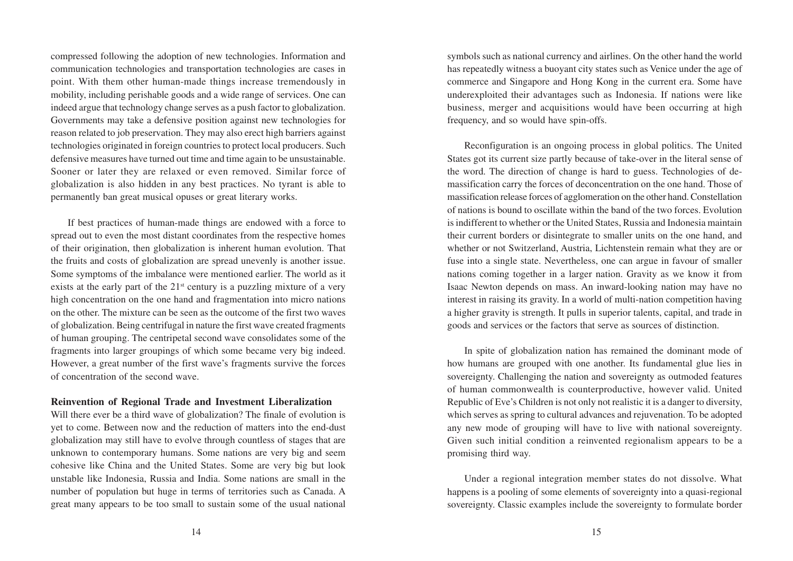compressed following the adoption of new technologies. Information and communication technologies and transportation technologies are cases in point. With them other human-made things increase tremendously in mobility, including perishable goods and a wide range of services. One can indeed argue that technology change serves as a push factor to globalization. Governments may take a defensive position against new technologies for reason related to job preservation. They may also erect high barriers against technologies originated in foreign countries to protect local producers. Such defensive measures have turned out time and time again to be unsustainable. Sooner or later they are relaxed or even removed. Similar force of globalization is also hidden in any best practices. No tyrant is able to permanently ban great musical opuses or great literary works.

If best practices of human-made things are endowed with a force to spread out to even the most distant coordinates from the respective homes of their origination, then globalization is inherent human evolution. That the fruits and costs of globalization are spread unevenly is another issue. Some symptoms of the imbalance were mentioned earlier. The world as it exists at the early part of the  $21<sup>st</sup>$  century is a puzzling mixture of a very high concentration on the one hand and fragmentation into micro nations on the other. The mixture can be seen as the outcome of the first two waves of globalization. Being centrifugal in nature the first wave created fragments of human grouping. The centripetal second wave consolidates some of the fragments into larger groupings of which some became very big indeed. However, a great number of the first wave's fragments survive the forces of concentration of the second wave.

## **Reinvention of Regional Trade and Investment Liberalization**

Will there ever be a third wave of globalization? The finale of evolution is yet to come. Between now and the reduction of matters into the end-dust globalization may still have to evolve through countless of stages that are unknown to contemporary humans. Some nations are very big and seem cohesive like China and the United States. Some are very big but look unstable like Indonesia, Russia and India. Some nations are small in the number of population but huge in terms of territories such as Canada. A great many appears to be too small to sustain some of the usual national

symbols such as national currency and airlines. On the other hand the world has repeatedly witness a buoyant city states such as Venice under the age of commerce and Singapore and Hong Kong in the current era. Some have underexploited their advantages such as Indonesia. If nations were like business, merger and acquisitions would have been occurring at high frequency, and so would have spin-offs.

Reconfiguration is an ongoing process in global politics. The United States got its current size partly because of take-over in the literal sense of the word. The direction of change is hard to guess. Technologies of demassification carry the forces of deconcentration on the one hand. Those of massification release forces of agglomeration on the other hand. Constellation of nations is bound to oscillate within the band of the two forces. Evolution is indifferent to whether or the United States, Russia and Indonesia maintain their current borders or disintegrate to smaller units on the one hand, and whether or not Switzerland, Austria, Lichtenstein remain what they are or fuse into a single state. Nevertheless, one can argue in favour of smaller nations coming together in a larger nation. Gravity as we know it from Isaac Newton depends on mass. An inward-looking nation may have no interest in raising its gravity. In a world of multi-nation competition having a higher gravity is strength. It pulls in superior talents, capital, and trade in goods and services or the factors that serve as sources of distinction.

In spite of globalization nation has remained the dominant mode of how humans are grouped with one another. Its fundamental glue lies in sovereignty. Challenging the nation and sovereignty as outmoded features of human commonwealth is counterproductive, however valid. United Republic of Eve's Children is not only not realistic it is a danger to diversity, which serves as spring to cultural advances and rejuvenation. To be adopted any new mode of grouping will have to live with national sovereignty. Given such initial condition a reinvented regionalism appears to be a promising third way.

Under a regional integration member states do not dissolve. What happens is a pooling of some elements of sovereignty into a quasi-regional sovereignty. Classic examples include the sovereignty to formulate border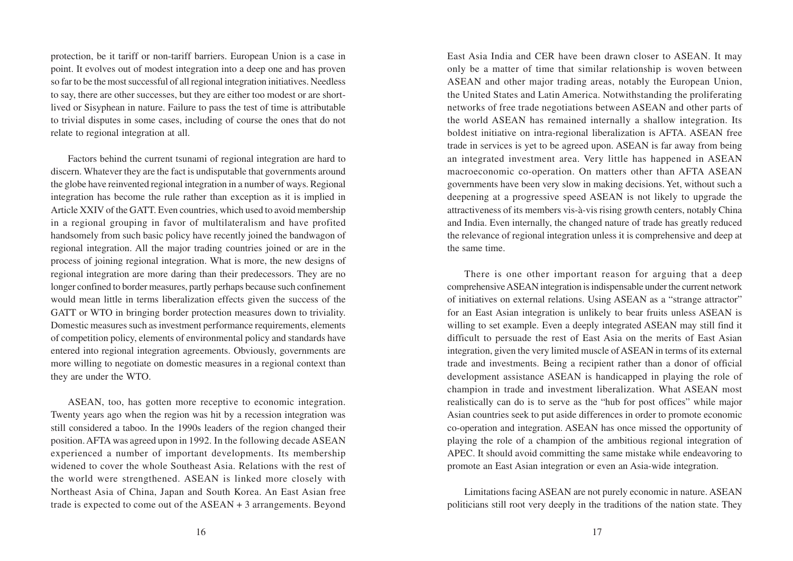protection, be it tariff or non-tariff barriers. European Union is a case in point. It evolves out of modest integration into a deep one and has proven so far to be the most successful of all regional integration initiatives. Needless to say, there are other successes, but they are either too modest or are shortlived or Sisyphean in nature. Failure to pass the test of time is attributable to trivial disputes in some cases, including of course the ones that do not relate to regional integration at all.

Factors behind the current tsunami of regional integration are hard to discern. Whatever they are the fact is undisputable that governments around the globe have reinvented regional integration in a number of ways. Regional integration has become the rule rather than exception as it is implied in Article XXIV of the GATT. Even countries, which used to avoid membership in a regional grouping in favor of multilateralism and have profited handsomely from such basic policy have recently joined the bandwagon of regional integration. All the major trading countries joined or are in the process of joining regional integration. What is more, the new designs of regional integration are more daring than their predecessors. They are no longer confined to border measures, partly perhaps because such confinement would mean little in terms liberalization effects given the success of the GATT or WTO in bringing border protection measures down to triviality. Domestic measures such as investment performance requirements, elements of competition policy, elements of environmental policy and standards have entered into regional integration agreements. Obviously, governments are more willing to negotiate on domestic measures in a regional context than they are under the WTO.

ASEAN, too, has gotten more receptive to economic integration. Twenty years ago when the region was hit by a recession integration was still considered a taboo. In the 1990s leaders of the region changed their position. AFTA was agreed upon in 1992. In the following decade ASEAN experienced a number of important developments. Its membership widened to cover the whole Southeast Asia. Relations with the rest of the world were strengthened. ASEAN is linked more closely with Northeast Asia of China, Japan and South Korea. An East Asian free trade is expected to come out of the ASEAN + 3 arrangements. Beyond

East Asia India and CER have been drawn closer to ASEAN. It may only be a matter of time that similar relationship is woven between ASEAN and other major trading areas, notably the European Union, the United States and Latin America. Notwithstanding the proliferating networks of free trade negotiations between ASEAN and other parts of the world ASEAN has remained internally a shallow integration. Its boldest initiative on intra-regional liberalization is AFTA. ASEAN free trade in services is yet to be agreed upon. ASEAN is far away from being an integrated investment area. Very little has happened in ASEAN macroeconomic co-operation. On matters other than AFTA ASEAN governments have been very slow in making decisions. Yet, without such a deepening at a progressive speed ASEAN is not likely to upgrade the attractiveness of its members vis-à-vis rising growth centers, notably China and India. Even internally, the changed nature of trade has greatly reduced the relevance of regional integration unless it is comprehensive and deep at the same time.

There is one other important reason for arguing that a deep comprehensive ASEAN integration is indispensable under the current network of initiatives on external relations. Using ASEAN as a "strange attractor" for an East Asian integration is unlikely to bear fruits unless ASEAN is willing to set example. Even a deeply integrated ASEAN may still find it difficult to persuade the rest of East Asia on the merits of East Asian integration, given the very limited muscle of ASEAN in terms of its external trade and investments. Being a recipient rather than a donor of official development assistance ASEAN is handicapped in playing the role of champion in trade and investment liberalization. What ASEAN most realistically can do is to serve as the "hub for post offices" while major Asian countries seek to put aside differences in order to promote economic co-operation and integration. ASEAN has once missed the opportunity of playing the role of a champion of the ambitious regional integration of APEC. It should avoid committing the same mistake while endeavoring to promote an East Asian integration or even an Asia-wide integration.

Limitations facing ASEAN are not purely economic in nature. ASEAN politicians still root very deeply in the traditions of the nation state. They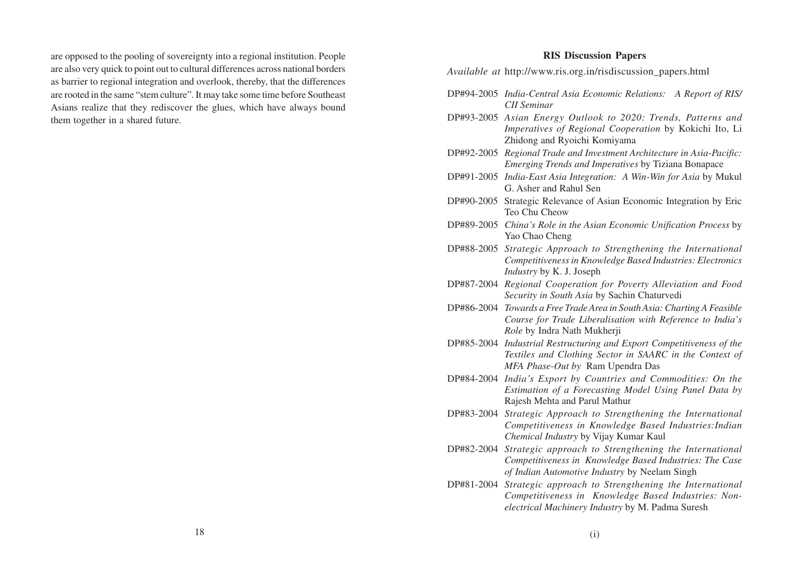are opposed to the pooling of sovereignty into a regional institution. People are also very quick to point out to cultural differences across national borders as barrier to regional integration and overlook, thereby, that the differences are rooted in the same "stem culture". It may take some time before Southeast Asians realize that they rediscover the glues, which have always bound them together in a shared future.

#### **RIS Discussion Papers**

*Available at* http://www.ris.org.in/risdiscussion\_papers.html

- DP#94-2005 *India-Central Asia Economic Relations: A Report of RIS/ CII Seminar*
- DP#93-2005 *Asian Energy Outlook to 2020: Trends, Patterns and Imperatives of Regional Cooperation* by Kokichi Ito, Li Zhidong and Ryoichi Komiyama
- DP#92-2005 *Regional Trade and Investment Architecture in Asia-Pacific: Emerging Trends and Imperatives* by Tiziana Bonapace
- DP#91-2005 *India-East Asia Integration: A Win-Win for Asia* by Mukul G. Asher and Rahul Sen
- DP#90-2005 Strategic Relevance of Asian Economic Integration by Eric Teo Chu Cheow
- DP#89-2005 *China's Role in the Asian Economic Unification Process* by Yao Chao Cheng
- DP#88-2005 *Strategic Approach to Strengthening the International Competitiveness in Knowledge Based Industries: Electronics Industry* by K. J. Joseph
- DP#87-2004 *Regional Cooperation for Poverty Alleviation and Food Security in South Asia* by Sachin Chaturvedi
- DP#86-2004 *Towards a Free Trade Area in South Asia: Charting A Feasible Course for Trade Liberalisation with Reference to India's Role* by Indra Nath Mukherji
- DP#85-2004 *Industrial Restructuring and Export Competitiveness of the Textiles and Clothing Sector in SAARC in the Context of MFA Phase-Out by* Ram Upendra Das
- DP#84-2004 *India's Export by Countries and Commodities: On the Estimation of a Forecasting Model Using Panel Data by* Rajesh Mehta and Parul Mathur
- DP#83-2004 *Strategic Approach to Strengthening the International Competitiveness in Knowledge Based Industries:Indian Chemical Industry* by Vijay Kumar Kaul
- DP#82-2004 *Strategic approach to Strengthening the International Competitiveness in Knowledge Based Industries: The Case of Indian Automotive Industry* by Neelam Singh
- DP#81-2004 *Strategic approach to Strengthening the International Competitiveness in Knowledge Based Industries: Nonelectrical Machinery Industry* by M. Padma Suresh